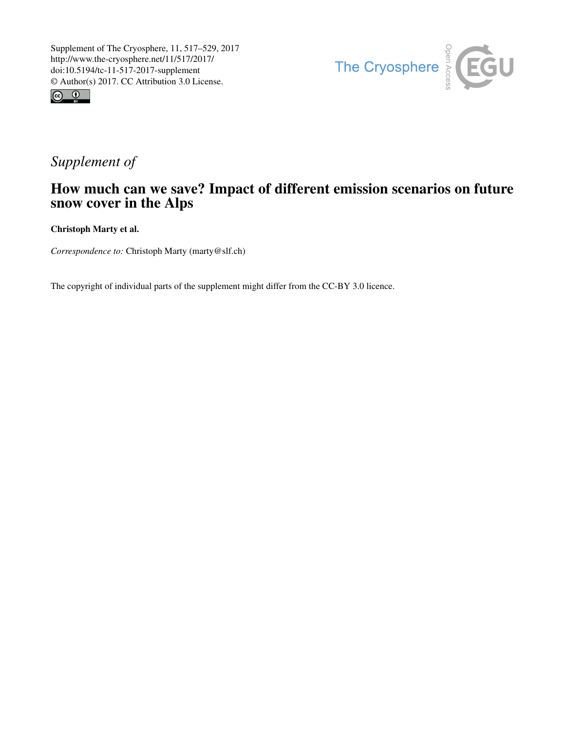



## *Supplement of*

## How much can we save? Impact of different emission scenarios on future snow cover in the Alps

Christoph Marty et al.

*Correspondence to:* Christoph Marty (marty@slf.ch)

The copyright of individual parts of the supplement might differ from the CC-BY 3.0 licence.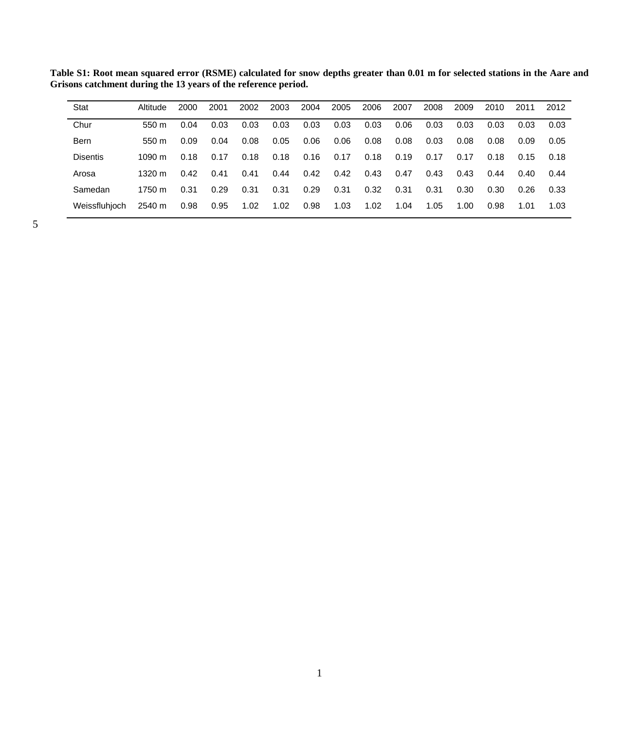| Stat            | Altitude         | 2000 | 2001 | 2002 | 2003 | 2004 | 2005 | 2006 | 2007 | 2008 | 2009 | 2010 | 2011 | 2012 |
|-----------------|------------------|------|------|------|------|------|------|------|------|------|------|------|------|------|
| Chur            | 550 <sub>m</sub> | 0.04 | 0.03 | 0.03 | 0.03 | 0.03 | 0.03 | 0.03 | 0.06 | 0.03 | 0.03 | 0.03 | 0.03 | 0.03 |
| <b>Bern</b>     | 550 m            | 0.09 | 0.04 | 0.08 | 0.05 | 0.06 | 0.06 | 0.08 | 0.08 | 0.03 | 0.08 | 0.08 | 0.09 | 0.05 |
| <b>Disentis</b> | 10.90 $m$        | 0.18 | 0.17 | 0.18 | 0.18 | 0.16 | 0.17 | 0.18 | 0.19 | 0.17 | 0.17 | 0.18 | 0.15 | 0.18 |
| Arosa           | 1320 $m$         | 0.42 | 0.41 | 0.41 | 0.44 | 0.42 | 0.42 | 0.43 | 0.47 | 0.43 | 0.43 | 0.44 | 0.40 | 0.44 |
| Samedan         | $1750 \text{ m}$ | 0.31 | 0.29 | 0.31 | 0.31 | 0.29 | 0.31 | 0.32 | 0.31 | 0.31 | 0.30 | 0.30 | 0.26 | 0.33 |
| Weissfluhioch   | 2540 m           | 0.98 | 0.95 | 1.02 | 1.02 | 0.98 | 1.03 | 1.02 | 1.04 | 1.05 | 1.00 | 0.98 | 1.01 | 1.03 |
|                 |                  |      |      |      |      |      |      |      |      |      |      |      |      |      |

**Table S1: Root mean squared error (RSME) calculated for snow depths greater than 0.01 m for selected stations in the Aare and Grisons catchment during the 13 years of the reference period.**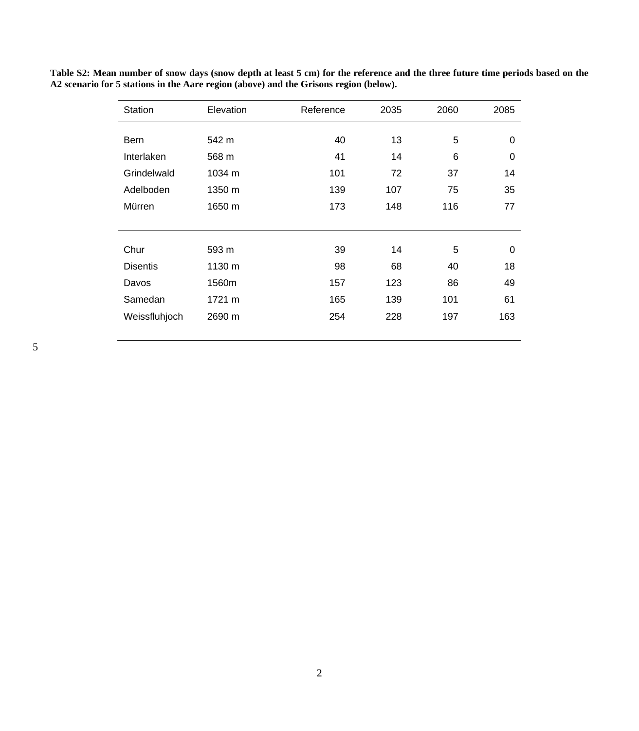| <b>Station</b>  | Elevation | Reference | 2035 | 2060 | 2085     |
|-----------------|-----------|-----------|------|------|----------|
|                 |           |           |      |      |          |
| <b>Bern</b>     | 542 m     | 40        | 13   | 5    | 0        |
| Interlaken      | 568 m     | 41        | 14   | 6    | 0        |
| Grindelwald     | 1034 m    | 101       | 72   | 37   | 14       |
| Adelboden       | 1350 m    | 139       | 107  | 75   | 35       |
| Mürren          | 1650 m    | 173       | 148  | 116  | 77       |
|                 |           |           |      |      |          |
| Chur            | 593 m     | 39        | 14   | 5    | $\Omega$ |
|                 |           |           |      |      |          |
| <b>Disentis</b> | 1130 m    | 98        | 68   | 40   | 18       |
| Davos           | 1560m     | 157       | 123  | 86   | 49       |
| Samedan         | 1721 m    | 165       | 139  | 101  | 61       |
| Weissfluhjoch   | 2690 m    | 254       | 228  | 197  | 163      |
|                 |           |           |      |      |          |

**Table S2: Mean number of snow days (snow depth at least 5 cm) for the reference and the three future time periods based on the A2 scenario for 5 stations in the Aare region (above) and the Grisons region (below).**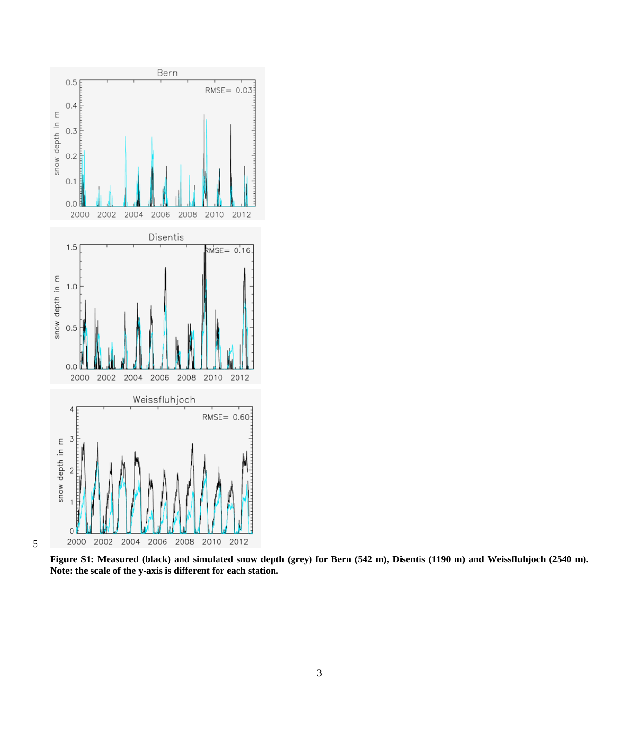

**Figure S1: Measured (black) and simulated snow depth (grey) for Bern (542 m), Disentis (1190 m) and Weissfluhjoch (2540 m). Note: the scale of the y-axis is different for each station.**

3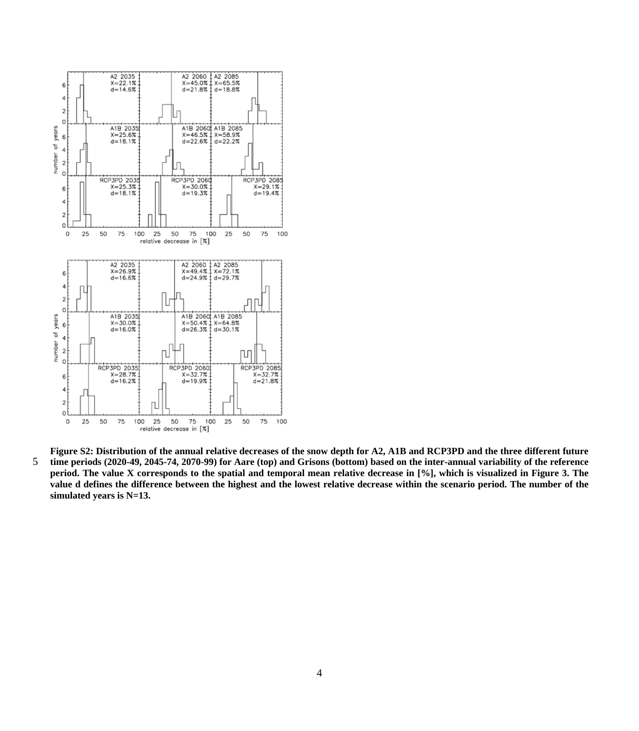

**Figure S2: Distribution of the annual relative decreases of the snow depth for A2, A1B and RCP3PD and the three different future**  5 **time periods (2020-49, 2045-74, 2070-99) for Aare (top) and Grisons (bottom) based on the inter-annual variability of the reference period. The value X corresponds to the spatial and temporal mean relative decrease in [%], which is visualized in Figure 3. The value d defines the difference between the highest and the lowest relative decrease within the scenario period. The number of the simulated years is N=13.**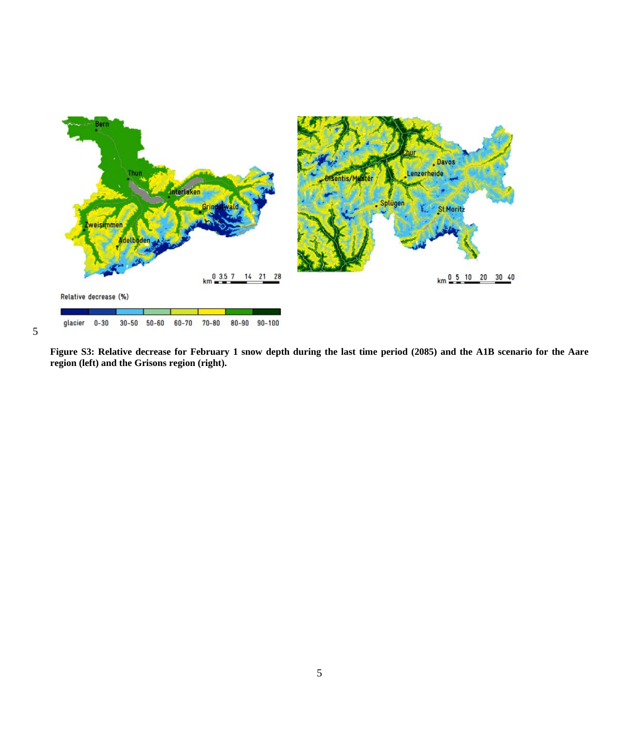

**Figure S3: Relative decrease for February 1 snow depth during the last time period (2085) and the A1B scenario for the Aare region (left) and the Grisons region (right).**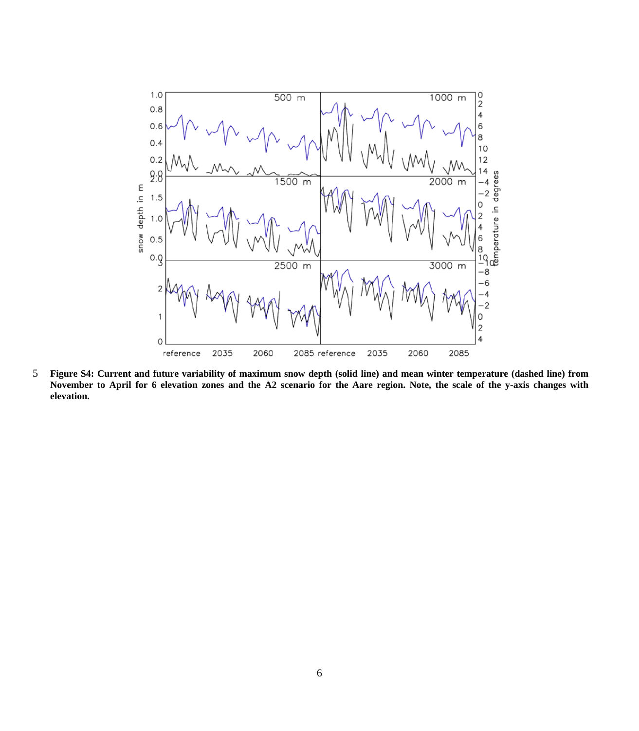

5 **Figure S4: Current and future variability of maximum snow depth (solid line) and mean winter temperature (dashed line) from November to April for 6 elevation zones and the A2 scenario for the Aare region. Note, the scale of the y-axis changes with elevation.**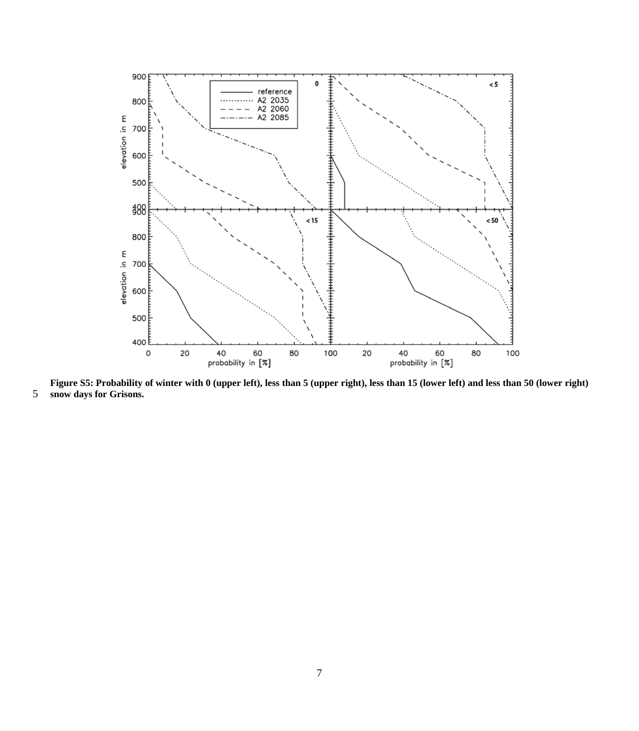

**Figure S5: Probability of winter with 0 (upper left), less than 5 (upper right), less than 15 (lower left) and less than 50 (lower right) snow days for Grisons.**